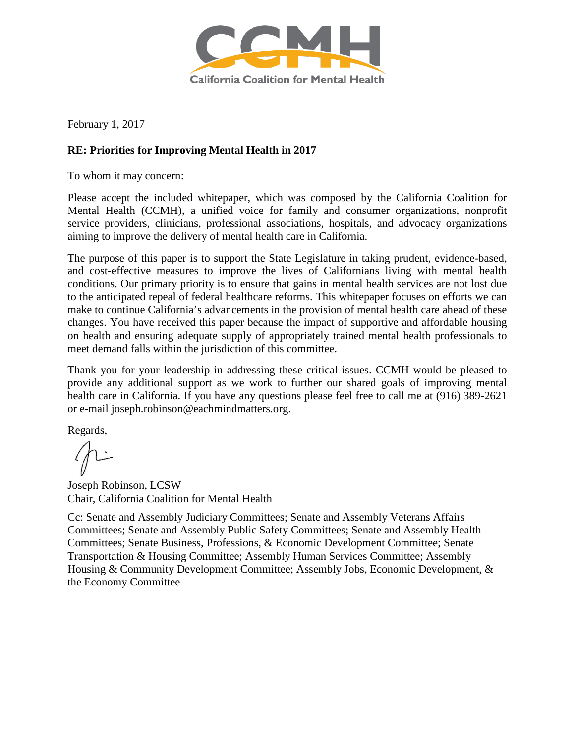

February 1, 2017

## **RE: Priorities for Improving Mental Health in 2017**

To whom it may concern:

Please accept the included whitepaper, which was composed by the California Coalition for Mental Health (CCMH), a unified voice for family and consumer organizations, nonprofit service providers, clinicians, professional associations, hospitals, and advocacy organizations aiming to improve the delivery of mental health care in California.

The purpose of this paper is to support the State Legislature in taking prudent, evidence-based, and cost-effective measures to improve the lives of Californians living with mental health conditions. Our primary priority is to ensure that gains in mental health services are not lost due to the anticipated repeal of federal healthcare reforms. This whitepaper focuses on efforts we can make to continue California's advancements in the provision of mental health care ahead of these changes. You have received this paper because the impact of supportive and affordable housing on health and ensuring adequate supply of appropriately trained mental health professionals to meet demand falls within the jurisdiction of this committee.

Thank you for your leadership in addressing these critical issues. CCMH would be pleased to provide any additional support as we work to further our shared goals of improving mental health care in California. If you have any questions please feel free to call me at (916) 389-2621 or e-mail joseph.robinson@eachmindmatters.org.

Regards,

Joseph Robinson, LCSW Chair, California Coalition for Mental Health

Cc: Senate and Assembly Judiciary Committees; Senate and Assembly Veterans Affairs Committees; Senate and Assembly Public Safety Committees; Senate and Assembly Health Committees; Senate Business, Professions, & Economic Development Committee; Senate Transportation & Housing Committee; Assembly Human Services Committee; Assembly Housing & Community Development Committee; Assembly Jobs, Economic Development, & the Economy Committee